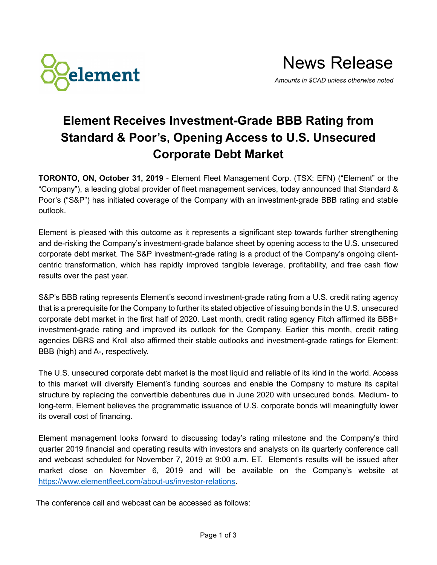

## **Element Receives Investment-Grade BBB Rating from Standard & Poor's, Opening Access to U.S. Unsecured Corporate Debt Market**

**TORONTO, ON, October 31, 2019** - Element Fleet Management Corp. (TSX: EFN) ("Element" or the "Company"), a leading global provider of fleet management services, today announced that Standard & Poor's ("S&P") has initiated coverage of the Company with an investment-grade BBB rating and stable outlook.

Element is pleased with this outcome as it represents a significant step towards further strengthening and de-risking the Company's investment-grade balance sheet by opening access to the U.S. unsecured corporate debt market. The S&P investment-grade rating is a product of the Company's ongoing clientcentric transformation, which has rapidly improved tangible leverage, profitability, and free cash flow results over the past year.

S&P's BBB rating represents Element's second investment-grade rating from a U.S. credit rating agency that is a prerequisite for the Company to further its stated objective of issuing bonds in the U.S. unsecured corporate debt market in the first half of 2020. Last month, credit rating agency Fitch affirmed its BBB+ investment-grade rating and improved its outlook for the Company. Earlier this month, credit rating agencies DBRS and Kroll also affirmed their stable outlooks and investment-grade ratings for Element: BBB (high) and A-, respectively.

The U.S. unsecured corporate debt market is the most liquid and reliable of its kind in the world. Access to this market will diversify Element's funding sources and enable the Company to mature its capital structure by replacing the convertible debentures due in June 2020 with unsecured bonds. Medium- to long-term, Element believes the programmatic issuance of U.S. corporate bonds will meaningfully lower its overall cost of financing.

Element management looks forward to discussing today's rating milestone and the Company's third quarter 2019 financial and operating results with investors and analysts on its quarterly conference call and webcast scheduled for November 7, 2019 at 9:00 a.m. ET. Element's results will be issued after market close on November 6, 2019 and will be available on the Company's website at [https://www.elementfleet.com/about-us/investor-relations.](https://www.elementfleet.com/about-us/investor-relations)

The conference call and webcast can be accessed as follows: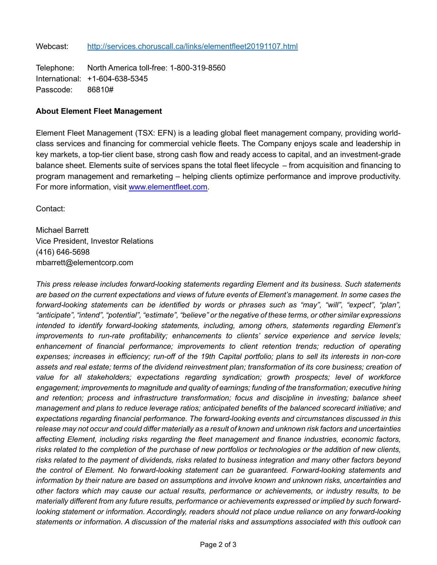Telephone: North America toll-free: 1-800-319-8560 International: +1-604-638-5345 Passcode: 86810#

## **About Element Fleet Management**

Element Fleet Management (TSX: EFN) is a leading global fleet management company, providing worldclass services and financing for commercial vehicle fleets. The Company enjoys scale and leadership in key markets, a top-tier client base, strong cash flow and ready access to capital, and an investment-grade balance sheet. Elements suite of services spans the total fleet lifecycle – from acquisition and financing to program management and remarketing – helping clients optimize performance and improve productivity. For more information, visit [www.elementfleet.com.](http://www.elementfleet.com/)

Contact:

Michael Barrett Vice President, Investor Relations (416) 646-5698 mbarrett@elementcorp.com

*This press release includes forward-looking statements regarding Element and its business. Such statements are based on the current expectations and views of future events of Element's management. In some cases the forward-looking statements can be identified by words or phrases such as "may", "will", "expect", "plan", "anticipate", "intend", "potential", "estimate", "believe" or the negative of these terms, or other similar expressions intended to identify forward-looking statements, including, among others, statements regarding Element's improvements to run-rate profitability; enhancements to clients' service experience and service levels; enhancement of financial performance; improvements to client retention trends; reduction of operating expenses; increases in efficiency; run-off of the 19th Capital portfolio; plans to sell its interests in non-core*  assets and real estate; terms of the dividend reinvestment plan; transformation of its core business; creation of *value for all stakeholders; expectations regarding syndication; growth prospects; level of workforce engagement; improvements to magnitude and quality of earnings; funding of the transformation; executive hiring and retention; process and infrastructure transformation; focus and discipline in investing; balance sheet management and plans to reduce leverage ratios; anticipated benefits of the balanced scorecard initiative; and expectations regarding financial performance. The forward-looking events and circumstances discussed in this release may not occur and could differ materially as a result of known and unknown risk factors and uncertainties affecting Element, including risks regarding the fleet management and finance industries, economic factors, risks related to the completion of the purchase of new portfolios or technologies or the addition of new clients, risks related to the payment of dividends, risks related to business integration and many other factors beyond the control of Element. No forward-looking statement can be guaranteed. Forward-looking statements and information by their nature are based on assumptions and involve known and unknown risks, uncertainties and other factors which may cause our actual results, performance or achievements, or industry results, to be materially different from any future results, performance or achievements expressed or implied by such forwardlooking statement or information. Accordingly, readers should not place undue reliance on any forward-looking statements or information. A discussion of the material risks and assumptions associated with this outlook can*